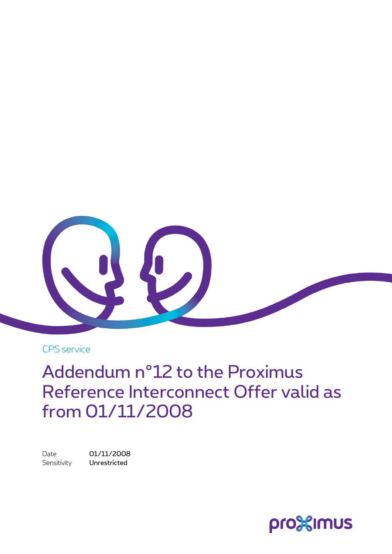

CPS service

Addendum n°12 to the Proximus Reference Interconnect Offer valid as from 01/11/2008

Date 01/11/2008 Sensitivity **Unrestricted** 

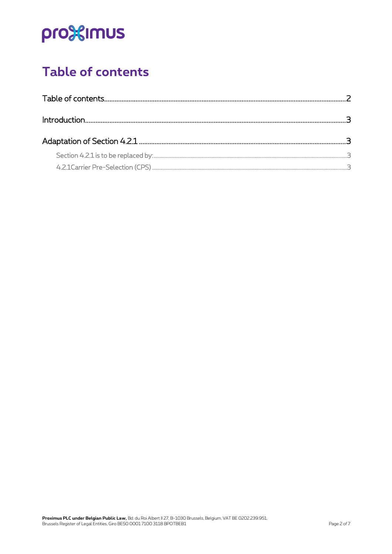## pro<sup>32</sup>imus

### <span id="page-1-0"></span>**Table of contents**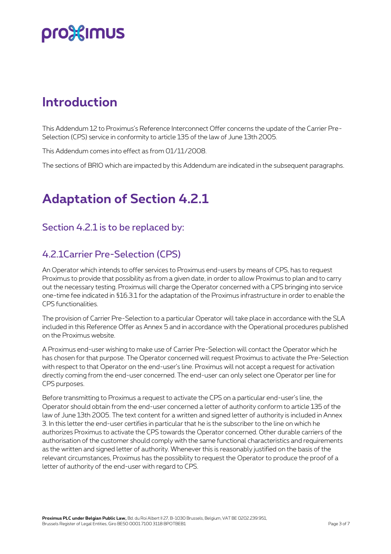### pro3<sup>2</sup> mus

### <span id="page-2-0"></span>**Introduction**

This Addendum 12 to Proximus's Reference Interconnect Offer concerns the update of the Carrier Pre-Selection (CPS) service in conformity to article 135 of the law of June 13th 2005.

This Addendum comes into effect as from 01/11/2008.

<span id="page-2-1"></span>The sections of BRIO which are impacted by this Addendum are indicated in the subsequent paragraphs.

### **Adaptation of Section 4.2.1**

#### <span id="page-2-2"></span>Section 4.2.1 is to be replaced by:

#### <span id="page-2-3"></span>4.2.1Carrier Pre-Selection (CPS)

An Operator which intends to offer services to Proximus end-users by means of CPS, has to request Proximus to provide that possibility as from a given date, in order to allow Proximus to plan and to carry out the necessary testing. Proximus will charge the Operator concerned with a CPS bringing into service one-time fee indicated in §16.3.1 for the adaptation of the Proximus infrastructure in order to enable the CPS functionalities.

The provision of Carrier Pre-Selection to a particular Operator will take place in accordance with the SLA included in this Reference Offer as Annex 5 and in accordance with the Operational procedures published on the Proximus website.

A Proximus end-user wishing to make use of Carrier Pre-Selection will contact the Operator which he has chosen for that purpose. The Operator concerned will request Proximus to activate the Pre-Selection with respect to that Operator on the end-user's line. Proximus will not accept a request for activation directly coming from the end-user concerned. The end-user can only select one Operator per line for CPS purposes.

Before transmitting to Proximus a request to activate the CPS on a particular end-user's line, the Operator should obtain from the end-user concerned a letter of authority conform to article 135 of the law of June 13th 2005. The text content for a written and signed letter of authority is included in Annex 3. In this letter the end-user certifies in particular that he is the subscriber to the line on which he authorizes Proximus to activate the CPS towards the Operator concerned. Other durable carriers of the authorisation of the customer should comply with the same functional characteristics and requirements as the written and signed letter of authority. Whenever this is reasonably justified on the basis of the relevant circumstances, Proximus has the possibility to request the Operator to produce the proof of a letter of authority of the end-user with regard to CPS.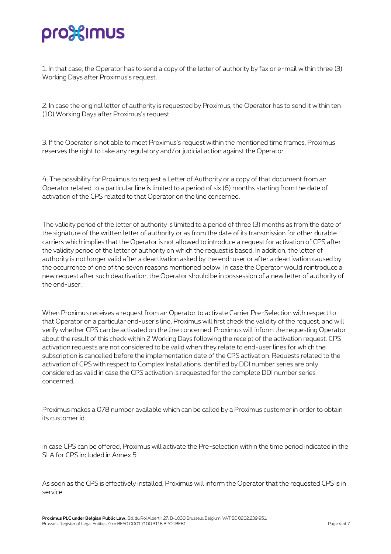# pro%imus

1. In that case, the Operator has to send a copy of the letter of authority by fax or e-mail within three (3) Working Days after Proximus's request.

2. In case the original letter of authority is requested by Proximus, the Operator has to send it within ten (10) Working Days after Proximus's request.

3. If the Operator is not able to meet Proximus's request within the mentioned time frames, Proximus reserves the right to take any regulatory and/or judicial action against the Operator.

4. The possibility for Proximus to request a Letter of Authority or a copy of that document from an Operator related to a particular line is limited to a period of six (6) months starting from the date of activation of the CPS related to that Operator on the line concerned.

The validity period of the letter of authority is limited to a period of three (3) months as from the date of the signature of the written letter of authority or as from the date of its transmission for other durable carriers which implies that the Operator is not allowed to introduce a request for activation of CPS after the validity period of the letter of authority on which the request is based. In addition, the letter of authority is not longer valid after a deactivation asked by the end-user or after a deactivation caused by the occurrence of one of the seven reasons mentioned below. In case the Operator would reintroduce a new request after such deactivation, the Operator should be in possession of a new letter of authority of the end-user.

When Proximus receives a request from an Operator to activate Carrier Pre-Selection with respect to that Operator on a particular end-user's line, Proximus will first check the validity of the request, and will verify whether CPS can be activated on the line concerned. Proximus will inform the requesting Operator about the result of this check within 2 Working Days following the receipt of the activation request. CPS activation requests are not considered to be valid when they relate to end-user lines for which the subscription is cancelled before the implementation date of the CPS activation. Requests related to the activation of CPS with respect to Complex Installations identified by DDI number series are only considered as valid in case the CPS activation is requested for the complete DDI number series concerned.

Proximus makes a 078 number available which can be called by a Proximus customer in order to obtain its customer id.

In case CPS can be offered, Proximus will activate the Pre-selection within the time period indicated in the SLA for CPS included in Annex 5.

As soon as the CPS is effectively installed, Proximus will inform the Operator that the requested CPS is in service.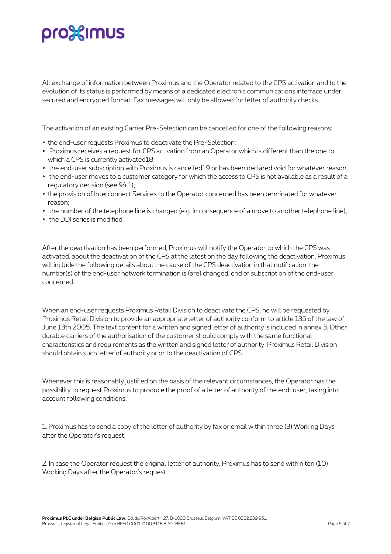# pro3<sup>2</sup> mus

All exchange of information between Proximus and the Operator related to the CPS activation and to the evolution of its status is performed by means of a dedicated electronic communications interface under secured and encrypted format. Fax messages will only be allowed for letter of authority checks.

The activation of an existing Carrier Pre-Selection can be cancelled for one of the following reasons:

- the end-user requests Proximus to deactivate the Pre-Selection;
- Proximus receives a request for CPS activation from an Operator which is different than the one to which a CPS is currently activated18;
- the end-user subscription with Proximus is cancelled19 or has been declared void for whatever reason;
- the end-user moves to a customer category for which the access to CPS is not available as a result of a regulatory decision (see §4.1);
- the provision of Interconnect Services to the Operator concerned has been terminated for whatever reason;
- the number of the telephone line is changed (e.g. in consequence of a move to another telephone line);
- the DDI series is modified.

After the deactivation has been performed, Proximus will notify the Operator to which the CPS was activated, about the deactivation of the CPS at the latest on the day following the deactivation. Proximus will include the following details about the cause of the CPS deactivation in that notification: the number(s) of the end-user network termination is (are) changed, end of subscription of the end-user concerned.

When an end-user requests Proximus Retail Division to deactivate the CPS, he will be requested by Proximus Retail Division to provide an appropriate letter of authority conform to article 135 of the law of June 13th 2005. The text content for a written and signed letter of authority is included in annex 3. Other durable carriers of the authorisation of the customer should comply with the same functional characteristics and requirements as the written and signed letter of authority. Proximus Retail Division should obtain such letter of authority prior to the deactivation of CPS.

Whenever this is reasonably justified on the basis of the relevant circumstances, the Operator has the possibility to request Proximus to produce the proof of a letter of authority of the end-user, taking into account following conditions:

1. Proximus has to send a copy of the letter of authority by fax or email within three (3) Working Days after the Operator's request.

2. In case the Operator request the original letter of authority, Proximus has to send within ten (10) Working Days after the Operator's request.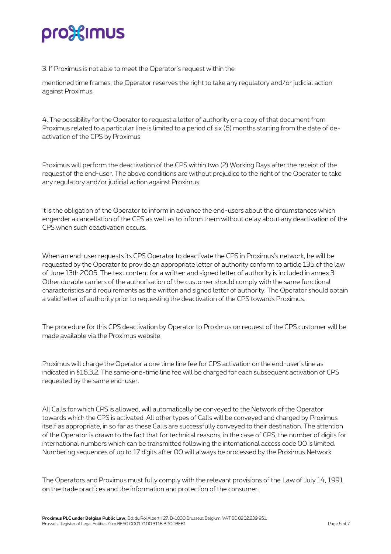# pro%imus

3. If Proximus is not able to meet the Operator's request within the

mentioned time frames, the Operator reserves the right to take any regulatory and/or judicial action against Proximus.

4. The possibility for the Operator to request a letter of authority or a copy of that document from Proximus related to a particular line is limited to a period of six (6) months starting from the date of deactivation of the CPS by Proximus.

Proximus will perform the deactivation of the CPS within two (2) Working Days after the receipt of the request of the end-user. The above conditions are without prejudice to the right of the Operator to take any regulatory and/or judicial action against Proximus.

It is the obligation of the Operator to inform in advance the end-users about the circumstances which engender a cancellation of the CPS as well as to inform them without delay about any deactivation of the CPS when such deactivation occurs.

When an end-user requests its CPS Operator to deactivate the CPS in Proximus's network, he will be requested by the Operator to provide an appropriate letter of authority conform to article 135 of the law of June 13th 2005. The text content for a written and signed letter of authority is included in annex 3. Other durable carriers of the authorisation of the customer should comply with the same functional characteristics and requirements as the written and signed letter of authority. The Operator should obtain a valid letter of authority prior to requesting the deactivation of the CPS towards Proximus.

The procedure for this CPS deactivation by Operator to Proximus on request of the CPS customer will be made available via the Proximus website.

Proximus will charge the Operator a one time line fee for CPS activation on the end-user's line as indicated in §16.3.2. The same one-time line fee will be charged for each subsequent activation of CPS requested by the same end-user.

All Calls for which CPS is allowed, will automatically be conveyed to the Network of the Operator towards which the CPS is activated. All other types of Calls will be conveyed and charged by Proximus itself as appropriate, in so far as these Calls are successfully conveyed to their destination. The attention of the Operator is drawn to the fact that for technical reasons, in the case of CPS, the number of digits for international numbers which can be transmitted following the international access code 00 is limited. Numbering sequences of up to 17 digits after 00 will always be processed by the Proximus Network.

The Operators and Proximus must fully comply with the relevant provisions of the Law of July 14, 1991 on the trade practices and the information and protection of the consumer.